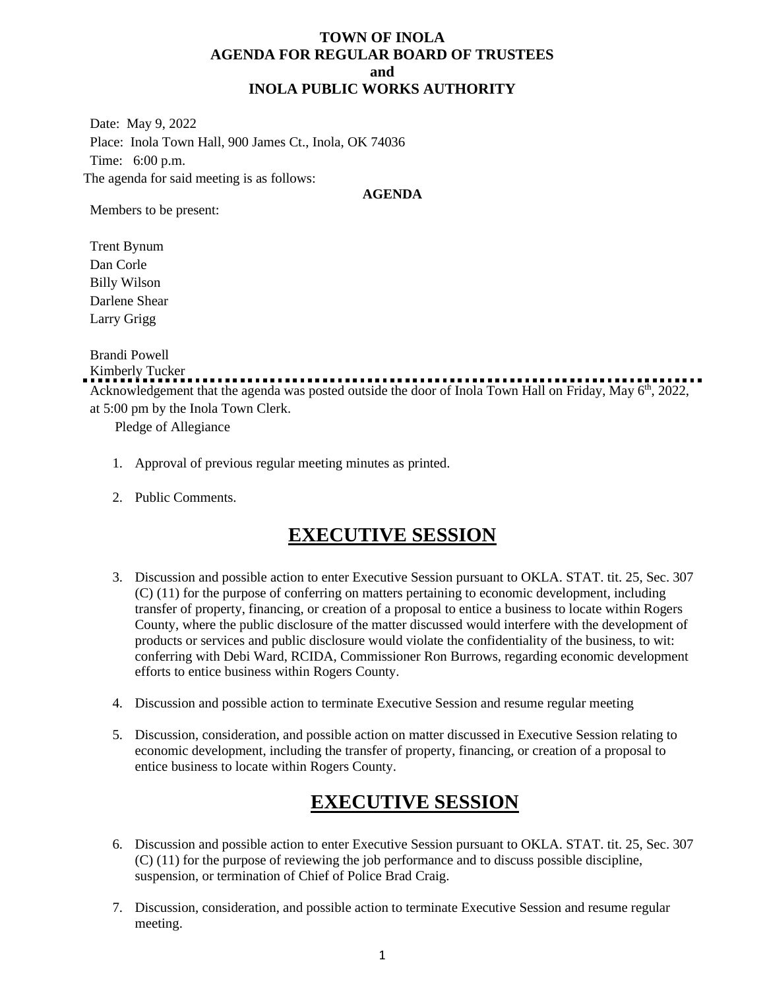### **TOWN OF INOLA AGENDA FOR REGULAR BOARD OF TRUSTEES and INOLA PUBLIC WORKS AUTHORITY**

Date: May 9, 2022 Place: Inola Town Hall, 900 James Ct., Inola, OK 74036 Time: 6:00 p.m. The agenda for said meeting is as follows:

#### **AGENDA**

Members to be present:

Trent Bynum Dan Corle Billy Wilson Darlene Shear Larry Grigg

Brandi Powell

Kimberly Tucker

Acknowledgement that the agenda was posted outside the door of Inola Town Hall on Friday, May 6<sup>th</sup>, 2022, at 5:00 pm by the Inola Town Clerk.

Pledge of Allegiance

- 1. Approval of previous regular meeting minutes as printed.
- 2. Public Comments.

# **EXECUTIVE SESSION**

- 3. Discussion and possible action to enter Executive Session pursuant to OKLA. STAT. tit. 25, Sec. 307 (C) (11) for the purpose of conferring on matters pertaining to economic development, including transfer of property, financing, or creation of a proposal to entice a business to locate within Rogers County, where the public disclosure of the matter discussed would interfere with the development of products or services and public disclosure would violate the confidentiality of the business, to wit: conferring with Debi Ward, RCIDA, Commissioner Ron Burrows, regarding economic development efforts to entice business within Rogers County.
- 4. Discussion and possible action to terminate Executive Session and resume regular meeting
- 5. Discussion, consideration, and possible action on matter discussed in Executive Session relating to economic development, including the transfer of property, financing, or creation of a proposal to entice business to locate within Rogers County.

# **EXECUTIVE SESSION**

- 6. Discussion and possible action to enter Executive Session pursuant to OKLA. STAT. tit. 25, Sec. 307 (C) (11) for the purpose of reviewing the job performance and to discuss possible discipline, suspension, or termination of Chief of Police Brad Craig.
- 7. Discussion, consideration, and possible action to terminate Executive Session and resume regular meeting.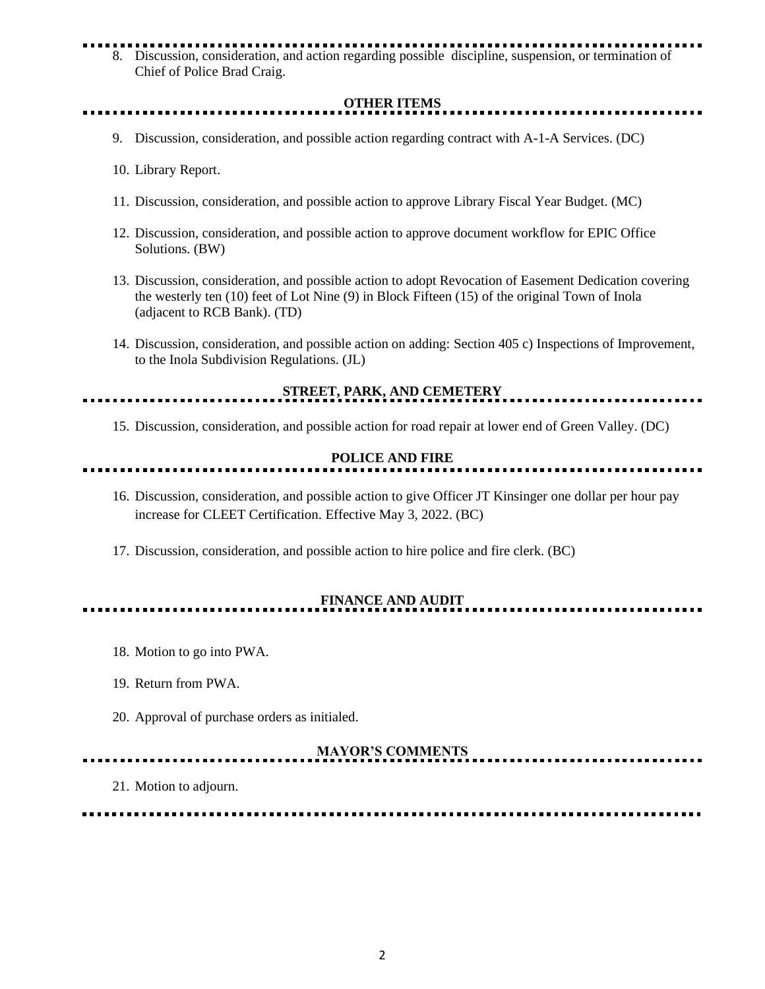# 8. Discussion, consideration, and action regarding possible discipline, suspension, or termination of Chief of Police Brad Craig.

# **OTHER ITEMS**

- 9. Discussion, consideration, and possible action regarding contract with A-1-A Services. (DC)
- 10. Library Report.

<u>. . . . . . . . . . . . . .</u>

- 11. Discussion, consideration, and possible action to approve Library Fiscal Year Budget. (MC)
- 12. Discussion, consideration, and possible action to approve document workflow for EPIC Office Solutions. (BW)
- 13. Discussion, consideration, and possible action to adopt Revocation of Easement Dedication covering the westerly ten (10) feet of Lot Nine (9) in Block Fifteen (15) of the original Town of Inola (adjacent to RCB Bank). (TD)
- 14. Discussion, consideration, and possible action on adding: Section 405 c) Inspections of Improvement, to the Inola Subdivision Regulations. (JL)

<u>. . . . . . . . . . . . . . . .</u>

**STREET, PARK, AND CEMETERY**

15. Discussion, consideration, and possible action for road repair at lower end of Green Valley. (DC)

### **POLICE AND FIRE**

- 16. Discussion, consideration, and possible action to give Officer JT Kinsinger one dollar per hour pay increase for CLEET Certification. Effective May 3, 2022. (BC)
- 17. Discussion, consideration, and possible action to hire police and fire clerk. (BC)

# **FINANCE AND AUDIT**

- 18. Motion to go into PWA.
- 19. Return from PWA.
- 20. Approval of purchase orders as initialed.

# **MAYOR'S COMMENTS**

21. Motion to adjourn.